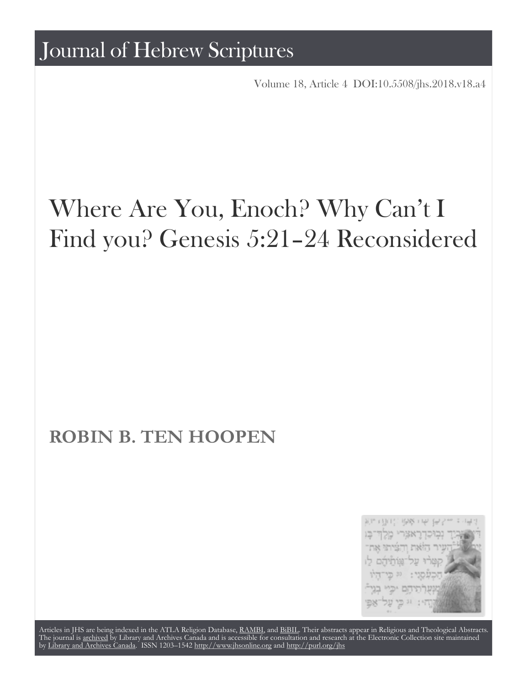Volume 18, Article 4 [DOI:10.5508/jhs.2018.v18.a4](http://dx.doi.org/10.5508/jhs.2018.v18.a4)

# Where Are You, Enoch? Why Can't I Find you? Genesis 5:21–24 Reconsidered

# **ROBIN B. TEN HOOPEN**



Articles in JHS are being indexed in the ATLA Religion Database, [RAMBI,](http://web.nli.org.il/sites/nli/english/infochannels/catalogs/bibliographic-databases/rambi/pages/rambi.aspx) and [BiBIL](http://bibil.net/). Their abstracts appear in Religious and Theological Abstracts. The journal is [archived](http://epe.lac-bac.gc.ca/100/201/300/journal_hebrew/index.html) by Library and Archives Canada and is accessible for consultation and research at the Electronic Collection site maintained by [Library and Archives Canada.](http://collectionscanada.ca/electroniccollection/) ISSN 1203–1542 <http://www.jhsonline.org>and<http://purl.org/jhs>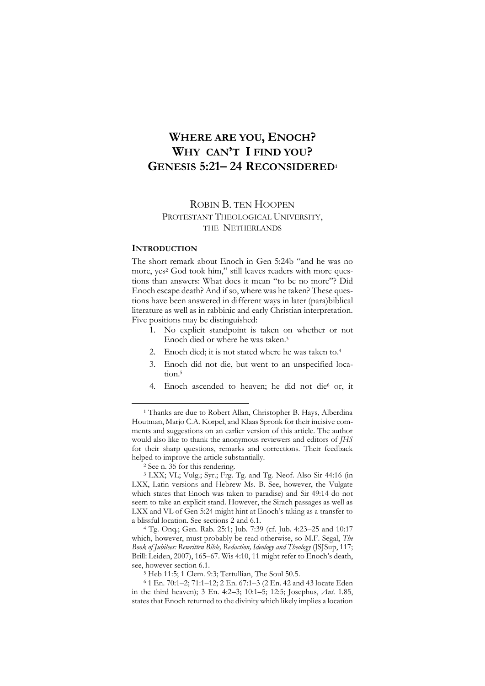# **WHERE ARE YOU, ENOCH? WHY CAN'T I FIND YOU? GENESIS 5:21– 24 RECONSIDERED1**

# ROBIN B. TEN HOOPEN PROTESTANT THEOLOGICAL UNIVERSITY, THE NETHERLANDS

#### **INTRODUCTION**

The short remark about Enoch in Gen 5:24b "and he was no more, yes<sup>2</sup> God took him," still leaves readers with more questions than answers: What does it mean "to be no more"? Did Enoch escape death? And if so, where was he taken? These questions have been answered in different ways in later (para)biblical literature as well as in rabbinic and early Christian interpretation. Five positions may be distinguished:

- 1. No explicit standpoint is taken on whether or not Enoch died or where he was taken. 3
- 2. Enoch died; it is not stated where he was taken to.<sup>4</sup>
- 3. Enoch did not die, but went to an unspecified location.5
- 4. Enoch ascended to heaven; he did not die<sup>6</sup> or, it

 <sup>1</sup> Thanks are due to Robert Allan, Christopher B. Hays, Alberdina Houtman, Marjo C.A. Korpel, and Klaas Spronk for their incisive comments and suggestions on an earlier version of this article. The author would also like to thank the anonymous reviewers and editors of *JHS*  for their sharp questions, remarks and corrections. Their feedback helped to improve the article substantially.<br><sup>2</sup> See n. 35 for this rendering.

<sup>3</sup> LXX; VL; Vulg.; Syr.; Frg. Tg. and Tg. Neof. Also Sir 44:16 (in LXX, Latin versions and Hebrew Ms. B. See, however, the Vulgate which states that Enoch was taken to paradise) and Sir 49:14 do not seem to take an explicit stand. However, the Sirach passages as well as LXX and VL of Gen 5:24 might hint at Enoch's taking as a transfer to a blissful location. See sections 2 and 6.1.

<sup>4</sup> Tg. Onq.; Gen. Rab. 25:1; Jub. 7:39 (cf. Jub. 4:23–25 and 10:17 which, however, must probably be read otherwise, so M.F. Segal, *The Book of Jubilees: Rewritten Bible, Redaction, Ideology and Theology* (JSJSup, 117; Brill: Leiden, 2007), 165–67. Wis 4:10, 11 might refer to Enoch's death, see, however section 6.1.

<sup>5</sup> Heb 11:5; 1 Clem. 9:3; Tertullian, The Soul 50.5.

<sup>6</sup> 1 En. 70:1–2; 71:1–12; 2 En. 67:1–3 (2 En. 42 and 43 locate Eden in the third heaven); 3 En. 4:2–3; 10:1–5; 12:5; Josephus, *Ant*. 1.85, states that Enoch returned to the divinity which likely implies a location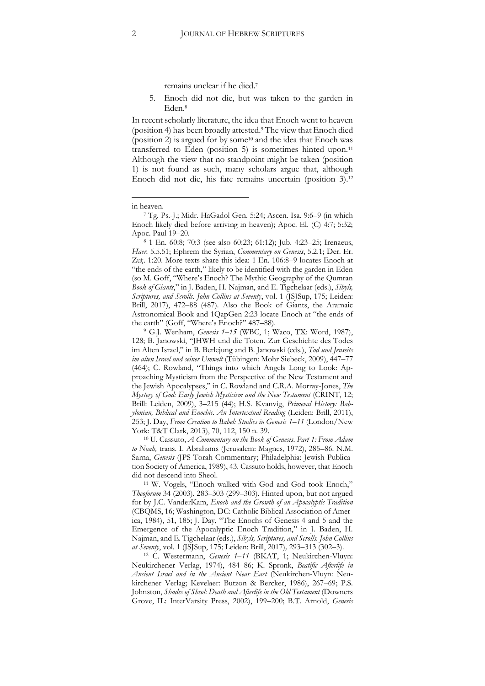remains unclear if he died.7

5. Enoch did not die, but was taken to the garden in Eden.8

In recent scholarly literature, the idea that Enoch went to heaven (position 4) has been broadly attested.9 The view that Enoch died (position 2) is argued for by some<sup>10</sup> and the idea that Enoch was transferred to Eden (position 5) is sometimes hinted upon.11 Although the view that no standpoint might be taken (position 1) is not found as such, many scholars argue that, although Enoch did not die, his fate remains uncertain (position 3).12

 $\overline{a}$ 

<sup>8</sup> 1 En. 60:8; 70:3 (see also 60:23; 61:12); Jub. 4:23–25; Irenaeus, *Haer.* 5.5.51; Ephrem the Syrian, *Commentary on Genesis*, 5.2.1; Der. Er. Zuṭ. 1:20. More texts share this idea: 1 En. 106:8–9 locates Enoch at "the ends of the earth," likely to be identified with the garden in Eden (so M. Goff, "Where's Enoch? The Mythic Geography of the Qumran *Book of Giants*," in J. Baden, H. Najman, and E. Tigchelaar (eds.), *Sibyls, Scriptures, and Scrolls. John Collins at Seventy*, vol. 1 (JSJSup, 175; Leiden: Brill, 2017), 472–88 (487). Also the Book of Giants, the Aramaic Astronomical Book and 1QapGen 2:23 locate Enoch at "the ends of

the earth" (Goff, "Where's Enoch?" 487–88). 9 G.J. Wenham, *Genesis 1–15* (WBC, 1; Waco, TX: Word, 1987), 128; B. Janowski, "JHWH und die Toten. Zur Geschichte des Todes im Alten Israel," in B. Berlejung and B. Janowski (eds.), *Tod und Jenseits im alten Israel und seiner Umwelt* (Tübingen: Mohr Siebeck, 2009), 447–77 (464); C. Rowland, "Things into which Angels Long to Look: Approaching Mysticism from the Perspective of the New Testament and the Jewish Apocalypses," in C. Rowland and C.R.A. Morray-Jones, *The Mystery of God: Early Jewish Mysticism and the New Testament* (CRINT, 12; Brill: Leiden, 2009), 3–215 (44); H.S. Kvanvig, *Primeval History: Babylonian, Biblical and Enochic. An Intertextual Reading* (Leiden: Brill, 2011), 253; J. Day, *From Creation to Babel: Studies in Genesis 1–11* (London/New York: T&T Clark, 2013), 70, 112, 150 n. 39.<br><sup>10</sup> U. Cassuto, *A Commentary on the Book of Genesis*. *Part 1: From Adam* 

*to Noah,* trans. I. Abrahams (Jerusalem: Magnes, 1972), 285–86. N.M. Sarna, *Genesis* (JPS Torah Commentary; Philadelphia: Jewish Publication Society of America, 1989), 43. Cassuto holds, however, that Enoch did not descend into Sheol.

<sup>11</sup> W. Vogels, "Enoch walked with God and God took Enoch," *Theoforum* 34 (2003), 283–303 (299–303). Hinted upon, but not argued for by J.C. VanderKam, *Enoch and the Growth of an Apocalyptic Tradition*  (CBQMS, 16; Washington, DC: Catholic Biblical Association of America, 1984), 51, 185; J. Day, "The Enochs of Genesis 4 and 5 and the Emergence of the Apocalyptic Enoch Tradition," in J. Baden, H. Najman, and E. Tigchelaar (eds.), *Sibyls, Scriptures, and Scrolls. John Collins at Seventy*, vol. 1 (JSJSup, 175; Leiden: Brill, 2017)*,* 293–313 (302–3). 12 C. Westermann, *Genesis 1–<sup>11</sup>* (BKAT, 1; Neukirchen-Vluyn:

Neukirchener Verlag, 1974), 484–86; K. Spronk, *Beatific Afterlife in Ancient Israel and in the Ancient Near East* (Neukirchen-Vluyn: Neukirchener Verlag; Kevelaer: Butzon & Bercker, 1986), 267–69; P.S. Johnston, *Shades of Sheol: Death and Afterlife in the Old Testament* (Downers Grove, IL: InterVarsity Press, 2002), 199–200; B.T. Arnold, *Genesis*

in heaven.

<sup>7</sup> Tg. Ps.-J.; Midr. HaGadol Gen. 5:24; Ascen. Isa. 9:6–9 (in which Enoch likely died before arriving in heaven); Apoc. El. (C) 4:7; 5:32; Apoc. Paul 19–20.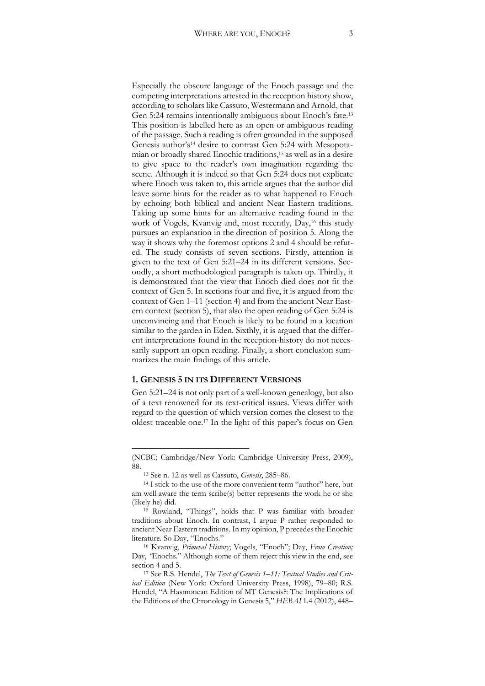Especially the obscure language of the Enoch passage and the competing interpretations attested in the reception history show, according to scholars like Cassuto, Westermann and Arnold, that Gen 5:24 remains intentionally ambiguous about Enoch's fate.<sup>13</sup> This position is labelled here as an open or ambiguous reading of the passage. Such a reading is often grounded in the supposed Genesis author's<sup>14</sup> desire to contrast Gen 5:24 with Mesopotamian or broadly shared Enochic traditions,15 as well as in a desire to give space to the reader's own imagination regarding the scene. Although it is indeed so that Gen 5:24 does not explicate where Enoch was taken to, this article argues that the author did leave some hints for the reader as to what happened to Enoch by echoing both biblical and ancient Near Eastern traditions. Taking up some hints for an alternative reading found in the work of Vogels, Kvanvig and, most recently, Day,<sup>16</sup> this study pursues an explanation in the direction of position 5. Along the way it shows why the foremost options 2 and 4 should be refuted. The study consists of seven sections. Firstly, attention is given to the text of Gen 5:21–24 in its different versions. Secondly, a short methodological paragraph is taken up. Thirdly, it is demonstrated that the view that Enoch died does not fit the context of Gen 5. In sections four and five, it is argued from the context of Gen 1–11 (section 4) and from the ancient Near Eastern context (section 5), that also the open reading of Gen 5:24 is unconvincing and that Enoch is likely to be found in a location similar to the garden in Eden. Sixthly, it is argued that the different interpretations found in the reception-history do not necessarily support an open reading. Finally, a short conclusion summarizes the main findings of this article.

#### **1. GENESIS 5 IN ITS DIFFERENT VERSIONS**

Gen 5:21–24 is not only part of a well-known genealogy, but also of a text renowned for its text-critical issues. Views differ with regard to the question of which version comes the closest to the oldest traceable one.17 In the light of this paper's focus on Gen

<sup>(</sup>NCBC; Cambridge/New York: Cambridge University Press, 2009), 88.

<sup>13</sup> See n. 12 as well as Cassuto, *Genesis*, 285–86.

<sup>&</sup>lt;sup>14</sup> I stick to the use of the more convenient term "author" here, but am well aware the term scribe(s) better represents the work he or she (likely he) did. 15 Rowland, "Things", holds that P was familiar with broader

traditions about Enoch. In contrast, I argue P rather responded to ancient Near Eastern traditions. In my opinion, P precedes the Enochic literature. So Day, "Enochs."

<sup>16</sup> Kvanvig, *Primeval History*; Vogels, "Enoch"; Day, *From Creation;*  Day, "Enochs." Although some of them reject this view in the end, see section 4 and 5.

<sup>17</sup> See R.S. Hendel, *The Text of Genesis 1–11: Textual Studies and Critical Edition* (New York: Oxford University Press, 1998), 79–80; R.S. Hendel, "A Hasmonean Edition of MT Genesis?: The Implications of the Editions of the Chronology in Genesis 5," *HEBAI* 1.4 (2012), 448–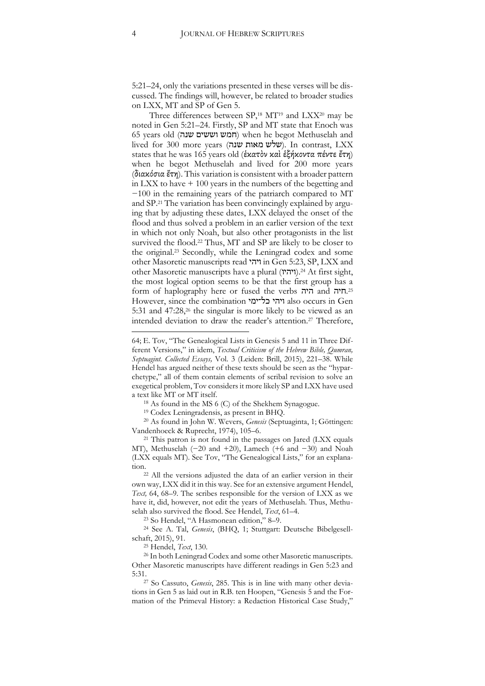5:21–24, only the variations presented in these verses will be discussed. The findings will, however, be related to broader studies on LXX, MT and SP of Gen 5.

Three differences between  $SP,^{18}$  MT<sup>19</sup> and LXX<sup>20</sup> may be noted in Gen 5:21–24. Firstly, SP and MT state that Enoch was 65 years old (חמש וששים שנה) when he begot Methuselah and lived for 300 more years (שלש מאות שנה). In contrast, LXX states that he was 165 years old (ἑκατὸν καὶ ἑξήκοντα πέντε ἔτη) when he begot Methuselah and lived for 200 more years (διακόσια ἔτη). This variation is consistent with a broader pattern in LXX to have + 100 years in the numbers of the begetting and −100 in the remaining years of the patriarch compared to MT and SP.21 The variation has been convincingly explained by arguing that by adjusting these dates, LXX delayed the onset of the flood and thus solved a problem in an earlier version of the text in which not only Noah, but also other protagonists in the list survived the flood.<sup>22</sup> Thus, MT and SP are likely to be closer to the original.23 Secondly, while the Leningrad codex and some other Masoretic manuscripts read ויהי in Gen 5:23, SP, LXX and other Masoretic manuscripts have a plural (ויהיו).<sup>24</sup> At first sight, the most logical option seems to be that the first group has a form of haplography here or fused the verbs היה and חיה.25 However, since the combination כל־ימי ויהי also occurs in Gen 5:31 and 47:28,<sup>26</sup> the singular is more likely to be viewed as an intended deviation to draw the reader's attention.<sup>27</sup> Therefore,

<sup>19</sup> Codex Leningradensis, as present in BHQ. 20 As found in John W. Wevers, *Genesis* (Septuaginta, 1; Göttingen: Vandenhoeck & Ruprecht, 1974), 105–6.

<sup>21</sup> This patron is not found in the passages on Jared (LXX equals MT), Methuselah (−20 and +20), Lamech (+6 and −30) and Noah (LXX equals MT). See Tov, "The Genealogical Lists," for an explana-

tion.<br><sup>22</sup> All the versions adjusted the data of an earlier version in their own way, LXX did it in this way. See for an extensive argument Hendel, *Text,* 64, 68–9. The scribes responsible for the version of LXX as we have it, did, however, not edit the years of Methuselah. Thus, Methuselah also survived the flood. See Hendel, *Text*, 61*–*4.

<sup>23</sup> So Hendel, "A Hasmonean edition," 8–9.

<sup>24</sup> See A. Tal, *Genesis*, (BHQ, 1; Stuttgart: Deutsche Bibelgesellschaft, 2015), 91.

<sup>25</sup> Hendel, *Text*, 130.

tions in Gen 5 as laid out in R.B. ten Hoopen, "Genesis 5 and the Formation of the Primeval History: a Redaction Historical Case Study,"

<sup>64;</sup> E. Tov, "The Genealogical Lists in Genesis 5 and 11 in Three Different Versions," in idem, *Textual Criticism of the Hebrew Bible, Qumran, Septuagint. Collected Essays,* Vol. 3 (Leiden: Brill, 2015), 221–38. While Hendel has argued neither of these texts should be seen as the "hyparchetype," all of them contain elements of scribal revision to solve an exegetical problem, Tov considers it more likely SP and LXX have used a text like MT or MT itself.

<sup>18</sup> As found in the MS 6 (C) of the Shekhem Synagogue.

<sup>26</sup> In both Leningrad Codex and some other Masoretic manuscripts. Other Masoretic manuscripts have different readings in Gen 5:23 and 5:31.27 So Cassuto, *Genesis*, 285. This is in line with many other devia-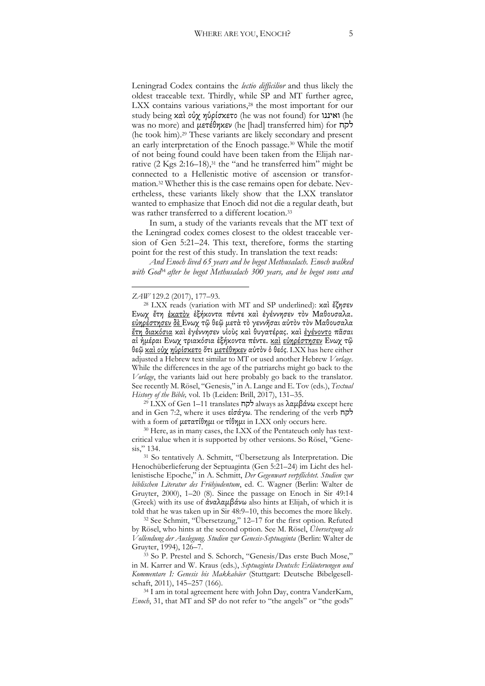Leningrad Codex contains the *lectio difficilior* and thus likely the oldest traceable text. Thirdly, while SP and MT further agree, LXX contains various variations,<sup>28</sup> the most important for our study being καὶ οὐχ ηὑρίσκετο (he was not found) for ואיננו) he was no more) and μετέθηκεν (he [had] transferred him) for לקח (he took him).29 These variants are likely secondary and present an early interpretation of the Enoch passage.30 While the motif of not being found could have been taken from the Elijah narrative (2 Kgs 2:16–18),<sup>31</sup> the "and he transferred him" might be connected to a Hellenistic motive of ascension or transformation*.* <sup>32</sup> Whether this is the case remains open for debate. Nevertheless, these variants likely show that the LXX translator wanted to emphasize that Enoch did not die a regular death, but was rather transferred to a different location.<sup>33</sup>

In sum, a study of the variants reveals that the MT text of the Leningrad codex comes closest to the oldest traceable version of Gen 5:21–24. This text, therefore, forms the starting point for the rest of this study. In translation the text reads:

*And Enoch lived 65 years and he begot Methusalach. Enoch walked*  with God<sup>34</sup> after he begot Methusalach 300 years, and he begot sons and

 $\overline{a}$ 

<sup>29</sup> LXX of Gen 1–11 translates לקח always as λαμβάνω except here and in Gen 7:2, where it uses εἰσάγω. The rendering of the verb לקח with a form of μετατίθημι or τίθημι in LXX only occurs here.

<sup>30</sup> Here, as in many cases, the LXX of the Pentateuch only has textcritical value when it is supported by other versions. So Rösel, "Genesis," 134.

<sup>31</sup> So tentatively A. Schmitt, "Übersetzung als Interpretation. Die Henochüberlieferung der Septuaginta (Gen 5:21–24) im Licht des hellenistische Epoche," in A. Schmitt, *Der Gegenwart verpflichtet. Studien zur biblischen Literatur des Frühjudentum*, ed. C. Wagner (Berlin: Walter de Gruyter, 2000), 1–20 (8). Since the passage on Enoch in Sir 49:14 (Greek) with its use of ἀναλαμβάνω also hints at Elijah, of which it is

told that he was taken up in Sir 48:9–10, this becomes the more likely. 32 See Schmitt, "Übersetzung," <sup>12</sup>–17 for the first option. Refuted by Rösel, who hints at the second option. See M. Rösel, *Übersetzung als Vollendung der Auslegung. Studien zur Genesis-Septuaginta* (Berlin: Walter de Gruyter, 1994), 126–7.<br><sup>33</sup> So P. Prestel and S. Schorch, "Genesis/Das erste Buch Mose,"

in M. Karrer and W. Kraus (eds.), *Septuaginta Deutsch: Erläuterungen und Kommentare I: Genesis bis Makkabäer* (Stuttgart: Deutsche Bibelgesellschaft, 2011), 145–257 (166).

<sup>34</sup> I am in total agreement here with John Day, contra VanderKam, *Enoch*, 31, that MT and SP do not refer to "the angels" or "the gods"

*ZAW* 129.2 (2017), 177–93.

<sup>28</sup> LXX reads (variation with MT and SP underlined): καὶ ἔζησεν Ενωχ ἔτη ἑκατὸν ἑξήκοντα πέντε καὶ ἐγέννησεν τὸν Μαθουσαλα. εὐηρέστησεν δὲ Ενωχ τῷ θεῷ μετὰ τὸ γεννῆσαι αὐτὸν τὸν Μαθουσαλα ἔτη διακόσια καὶ ἐγέννησεν υἱοὺς καὶ θυγατέρας. καὶ ἐγένοντο πᾶσαι αἱ ἡμέραι Ενωχ τριακόσια ἑξήκοντα πέντε. καὶ εὐηρέστησεν Ενωχ τῷ θεῷ καὶ οὐχ ηὑρίσκετο ὅτι μετέθηκεν αὐτὸν ὁ θεός. LXX has here either adjusted a Hebrew text similar to MT or used another Hebrew *Vorlage*. While the differences in the age of the patriarchs might go back to the *Vorlage*, the variants laid out here probably go back to the translator. See recently M. Rösel, "Genesis," in A. Lange and E. Tov (eds.), *Textual History of the Bible,* vol. 1b (Leiden: Brill, 2017), 131–35.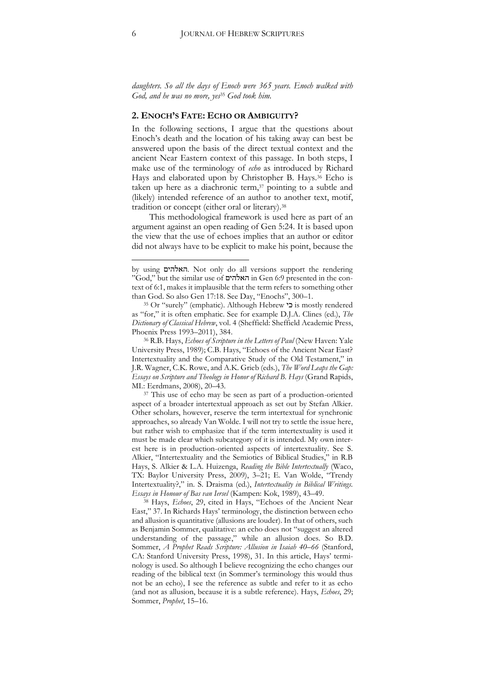*daughters. So all the days of Enoch were 365 years. Enoch walked with God, and he was no more, yes*<sup>35</sup> *God took him.* 

#### **2. ENOCH'S FATE: ECHO OR AMBIGUITY?**

In the following sections, I argue that the questions about Enoch's death and the location of his taking away can best be answered upon the basis of the direct textual context and the ancient Near Eastern context of this passage. In both steps, I make use of the terminology of *echo* as introduced by Richard Hays and elaborated upon by Christopher B. Hays.<sup>36</sup> Echo is taken up here as a diachronic term, $37$  pointing to a subtle and (likely) intended reference of an author to another text, motif, tradition or concept (either oral or literary).38

This methodological framework is used here as part of an argument against an open reading of Gen 5:24. It is based upon the view that the use of echoes implies that an author or editor did not always have to be explicit to make his point, because the

<sup>37</sup> This use of echo may be seen as part of a production-oriented aspect of a broader intertextual approach as set out by Stefan Alkier. Other scholars, however, reserve the term intertextual for synchronic approaches, so already Van Wolde. I will not try to settle the issue here, but rather wish to emphasize that if the term intertextuality is used it must be made clear which subcategory of it is intended. My own interest here is in production-oriented aspects of intertextuality. See S. Alkier, "Intertextuality and the Semiotics of Biblical Studies," in R.B Hays, S. Alkier & L.A. Huizenga, *Reading the Bible Intertextually* (Waco, TX: Baylor University Press, 2009), 3–21; E. Van Wolde, "Trendy Intertextuality?," in. S. Draisma (ed.), *Intertextuality in Biblical Writings. Essays in Honour of Bas van Iersel* (Kampen: Kok, 1989), 43–49.

<sup>38</sup> Hays, *Echoes*, 29, cited in Hays, "Echoes of the Ancient Near East," 37. In Richards Hays' terminology, the distinction between echo and allusion is quantitative (allusions are louder). In that of others, such as Benjamin Sommer, qualitative: an echo does not "suggest an altered understanding of the passage," while an allusion does. So B.D. Sommer, *A Prophet Reads Scripture: Allusion in Isaiah 40–66* (Stanford, CA: Stanford University Press, 1998), 31. In this article, Hays' terminology is used. So although I believe recognizing the echo changes our reading of the biblical text (in Sommer's terminology this would thus not be an echo), I see the reference as subtle and refer to it as echo (and not as allusion, because it is a subtle reference). Hays, *Echoes*, 29; Sommer, *Prophet*, 15–16.

by using האלהים. Not only do all versions support the rendering "God," but the similar use of האלהים in Gen 6:9 presented in the context of 6:1, makes it implausible that the term refers to something other than God. So also Gen 17:18. See Day, "Enochs", 300–1.

<sup>35</sup> Or "surely" (emphatic). Although Hebrew כי is mostly rendered as "for," it is often emphatic. See for example D.J.A. Clines (ed.), *The Dictionary of Classical Hebrew*, vol. 4 (Sheffield: Sheffield Academic Press,

Phoenix Press 1993–2011), 384. 36 R.B. Hays, *Echoes of Scripture in the Letters of Paul* (New Haven: Yale University Press, 1989); C.B. Hays, "Echoes of the Ancient Near East? Intertextuality and the Comparative Study of the Old Testament," in J.R. Wagner, C.K. Rowe, and A.K. Grieb (eds.), *The Word Leaps the Gap: Essays on Scripture and Theology in Honor of Richard B. Hays* (Grand Rapids, MI.: Eerdmans, 2008), 20–43.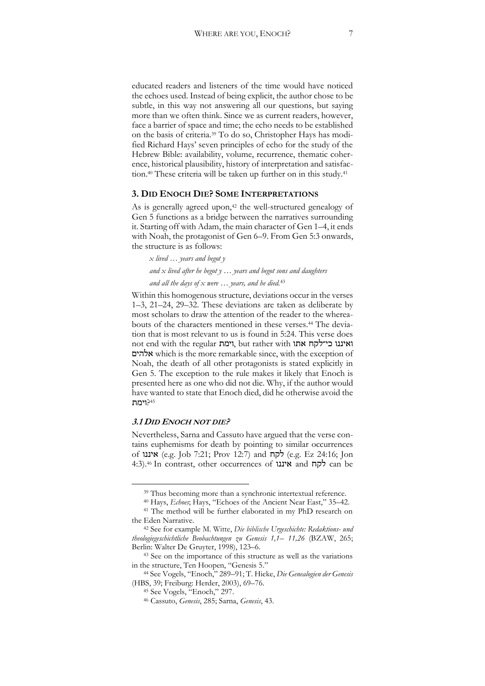educated readers and listeners of the time would have noticed the echoes used. Instead of being explicit, the author chose to be subtle, in this way not answering all our questions, but saying more than we often think. Since we as current readers, however, face a barrier of space and time; the echo needs to be established on the basis of criteria.39 To do so, Christopher Hays has modified Richard Hays' seven principles of echo for the study of the Hebrew Bible: availability, volume, recurrence, thematic coherence, historical plausibility, history of interpretation and satisfaction.<sup>40</sup> These criteria will be taken up further on in this study.<sup>41</sup>

#### **3. DID ENOCH DIE? SOME INTERPRETATIONS**

As is generally agreed upon,<sup>42</sup> the well-structured genealogy of Gen 5 functions as a bridge between the narratives surrounding it. Starting off with Adam, the main character of Gen 1–4, it ends with Noah, the protagonist of Gen 6–9. From Gen 5:3 onwards, the structure is as follows:

*x lived … years and begot y and x lived after he begot y … years and begot sons and daughters and all the days of x were … years, and he died.*<sup>43</sup>

Within this homogenous structure, deviations occur in the verses 1–3, 21–24, 29–32. These deviations are taken as deliberate by most scholars to draw the attention of the reader to the whereabouts of the characters mentioned in these verses.<sup>44</sup> The deviation that is most relevant to us is found in 5:24. This verse does not end with the regular וימת, but rather with אתו כי־לקח ואיננו אלהים which is the more remarkable since, with the exception of Noah, the death of all other protagonists is stated explicitly in Gen 5. The exception to the rule makes it likely that Enoch is presented here as one who did not die. Why, if the author would have wanted to state that Enoch died, did he otherwise avoid the 45?וימת

#### **3.1 DID ENOCH NOT DIE?**

Nevertheless, Sarna and Cassuto have argued that the verse contains euphemisms for death by pointing to similar occurrences of איננו) e.g. Job 7:21; Prov 12:7) and לקח) e.g. Ez 24:16; Jon 4:3).46 In contrast, other occurrences of איננו and לקח can be

<sup>&</sup>lt;sup>39</sup> Thus becoming more than a synchronic intertextual reference.

<sup>40</sup> Hays, *Echoes*; Hays, "Echoes of the Ancient Near East," 35–42.

 $^{41}$  The method will be further elaborated in my PhD research on the Eden Narrative.

<sup>&</sup>lt;sup>42</sup> See for example M. Witte, *Die biblische Urgeschichte: Redaktions- und theologiegeschichtliche Beobachtungen zu Genesis 1,1– 11,26* (BZAW, 265; Berlin: Walter De Gruyter, 1998), 123–6.

<sup>43</sup> See on the importance of this structure as well as the variations in the structure, Ten Hoopen, "Genesis 5."

<sup>44</sup> See Vogels, "Enoch," 289–91; T. Hieke, *Die Genealogien der Genesis*  (HBS, 39; Freiburg: Herder, 2003), 69–76.

<sup>45</sup> See Vogels, "Enoch," 297.

<sup>46</sup> Cassuto, *Genesis*, 285; Sarna, *Genesis*, 43.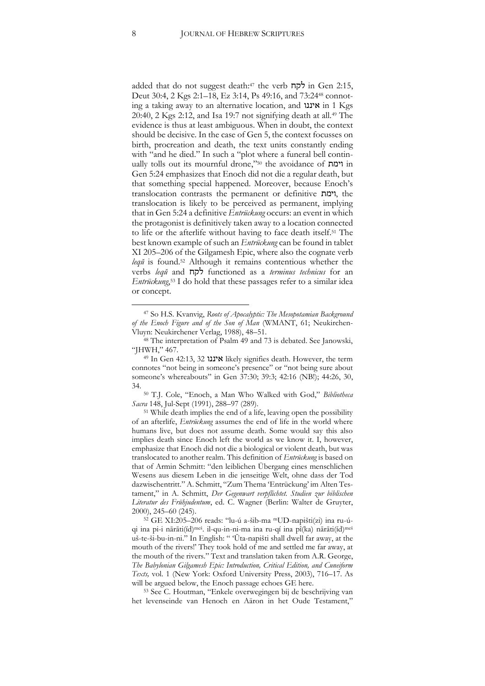added that do not suggest death:<sup>47</sup> the verb  $\overline{q}$  in Gen 2:15, Deut 30:4, 2 Kgs 2:1–18, Ez 3:14, Ps 49:16, and 73:24<sup>48</sup> connoting a taking away to an alternative location, and איננו in 1 Kgs 20:40, 2 Kgs 2:12, and Isa 19:7 not signifying death at all.49 The evidence is thus at least ambiguous. When in doubt, the context should be decisive. In the case of Gen 5, the context focusses on birth, procreation and death, the text units constantly ending with "and he died." In such a "plot where a funeral bell continually tolls out its mournful drone,"<sup>50</sup> the avoidance of וימת in Gen 5:24 emphasizes that Enoch did not die a regular death, but that something special happened. Moreover, because Enoch's translocation contrasts the permanent or definitive וימת, the translocation is likely to be perceived as permanent, implying that in Gen 5:24 a definitive *Entrückung* occurs: an event in which the protagonist is definitively taken away to a location connected to life or the afterlife without having to face death itself. <sup>51</sup> The best known example of such an *Entrückung* can be found in tablet XI 205–206 of the Gilgamesh Epic, where also the cognate verb *leqŭ* is found.52 Although it remains contentious whether the verbs *leqŭ* and לקח functioned as a *terminus technicus* for an *Entrückung*, <sup>53</sup> I do hold that these passages refer to a similar idea or concept.

<sup>50</sup> T.J. Cole, "Enoch, a Man Who Walked with God," *Bibliotheca Sacra* 148, Jul-Sept (1991), 288–97 (289).

<sup>51</sup> While death implies the end of a life, leaving open the possibility of an afterlife, *Entrückung* assumes the end of life in the world where humans live, but does not assume death. Some would say this also implies death since Enoch left the world as we know it. I, however, emphasize that Enoch did not die a biological or violent death, but was translocated to another realm. This definition of *Entrückung* is based on that of Armin Schmitt: "den leiblichen Übergang eines menschlichen Wesens aus diesem Leben in die jenseitige Welt, ohne dass der Tod dazwischentritt." A. Schmitt, "Zum Thema 'Entrückung' im Alten Testament," in A. Schmitt, *Der Gegenwart verpflichtet. Studien zur biblischen Literatur des Frühjudentum*, ed. C. Wagner (Berlin: Walter de Gruyter,

2000), 245–60 (245). 52 GE XI:205–206 reads: "lu-ú a-šib-ma mUD-napišti(zi) ina ru-úqi ina pi-i nārāti(íd)meš. il-qu-in-ni-ma ina ru-qí ina pî(ka) nārāti(íd)meš uš-te-ši-bu-in-ni." In English: " 'Ūta-napišti shall dwell far away, at the mouth of the rivers!' They took hold of me and settled me far away, at the mouth of the rivers." Text and translation taken from A.R. George, *The Babylonian Gilgamesh Epic: Introduction, Critical Edition, and Cuneiform Texts,* vol. 1 (New York: Oxford University Press, 2003), 716–17. As will be argued below, the Enoch passage echoes GE here.

<sup>53</sup> See C. Houtman, "Enkele overwegingen bij de beschrijving van het levenseinde van Henoch en Aäron in het Oude Testament,"

 <sup>47</sup> So H.S. Kvanvig, *Roots of Apocalyptic: The Mesopotamian Background of the Enoch Figure and of the Son of Man* (WMANT, 61; Neukirchen-Vluyn: Neukirchener Verlag, 1988), 48–51.

<sup>48</sup> The interpretation of Psalm 49 and 73 is debated. See Janowski, "JHWH," 467.

<sup>49</sup> In Gen 42:13, 32 איננו likely signifies death. However, the term connotes "not being in someone's presence" or "not being sure about someone's whereabouts" in Gen 37:30; 39:3; 42:16 (NB!); 44:26, 30, 34.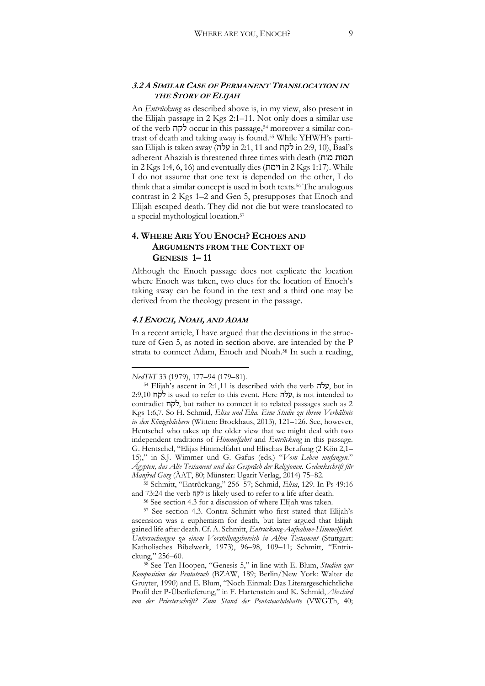#### **3.2 A SIMILAR CASE OF PERMANENT TRANSLOCATION IN THE STORY OF ELIJAH**

An *Entrückung* as described above is, in my view, also present in the Elijah passage in 2 Kgs 2:1–11. Not only does a similar use of the verb לקח occur in this passage,<sup>54</sup> moreover a similar contrast of death and taking away is found.55 While YHWH's partisan Elijah is taken away (עלה in 2:1, 11 and לקח in 2:9, 10), Baal's adherent Ahaziah is threatened three times with death (מות תמות in 2 Kgs 1:4, 6, 16) and eventually dies (וימת in 2 Kgs 1:17). While I do not assume that one text is depended on the other, I do think that a similar concept is used in both texts.56 The analogous contrast in 2 Kgs 1–2 and Gen 5, presupposes that Enoch and Elijah escaped death. They did not die but were translocated to a special mythological location.57

## **4. WHERE ARE YOU ENOCH? ECHOES AND ARGUMENTS FROM THE CONTEXT OF GENESIS 1– 11**

Although the Enoch passage does not explicate the location where Enoch was taken, two clues for the location of Enoch's taking away can be found in the text and a third one may be derived from the theology present in the passage.

#### **4.1 ENOCH, NOAH, AND ADAM**

In a recent article, I have argued that the deviations in the structure of Gen 5, as noted in section above, are intended by the P strata to connect Adam, Enoch and Noah.58 In such a reading,

 $\overline{a}$ 

<sup>55</sup> Schmitt, "Entrückung," 256–57; Schmid, *Elisa*, 129. In Ps 49:16 and 73:24 the verb לקח is likely used to refer to a life after death.

<sup>56</sup> See section 4.3 for a discussion of where Elijah was taken. 57 See section 4.3. Contra Schmitt who first stated that Elijah's ascension was a euphemism for death, but later argued that Elijah gained life after death. Cf. A. Schmitt, *Entrückung-Aufnahme-Himmelfahrt. Untersuchungen zu einem Vorstellungsbereich in Alten Testament* (Stuttgart: Katholisches Bibelwerk, 1973), 96–98, 109–11; Schmitt, "Entrückung," 256–60.

*NedThT* 33 (1979), 177–94 (179–81).

 $54$  Elijah's ascent in 2:1,11 is described with the verb עלה, but in  $2:9,10$  is used to refer to this event. Here עלה, is not intended to contradict לקח, but rather to connect it to related passages such as 2 Kgs 1:6,7. So H. Schmid, *Elisa und Elia. Eine Studie zu ihrem Verhältnis in den Königebüchern* (Witten: Brockhaus, 2013), 121–126. See, however, Hentschel who takes up the older view that we might deal with two independent traditions of *Himmelfahrt* and *Entrückung* in this passage. G. Hentschel, "Elijas Himmelfahrt und Elischas Berufung (2 Kön 2,1– 15)," in S.J. Wimmer und G. Gafus (eds.) "*Vom Leben umfangen.*" *Ägypten, das Alte Testament und das Gespräch der Religionen. Gedenkschrift für Manfred Görg* (ÄAT, 80; Münster: Ugarit Verlag, 2014) 75–82.

<sup>58</sup> See Ten Hoopen, "Genesis 5," in line with E. Blum, *Studien zur Komposition des Pentateuch* (BZAW, 189; Berlin/New York: Walter de Gruyter, 1990) and E. Blum, "Noch Einmal: Das Literargeschichtliche Profil der P-Überlieferung," in F. Hartenstein and K. Schmid, *Abschied von der Priesterschrift? Zum Stand der Pentateuchdebatte* (VWGTh, 40;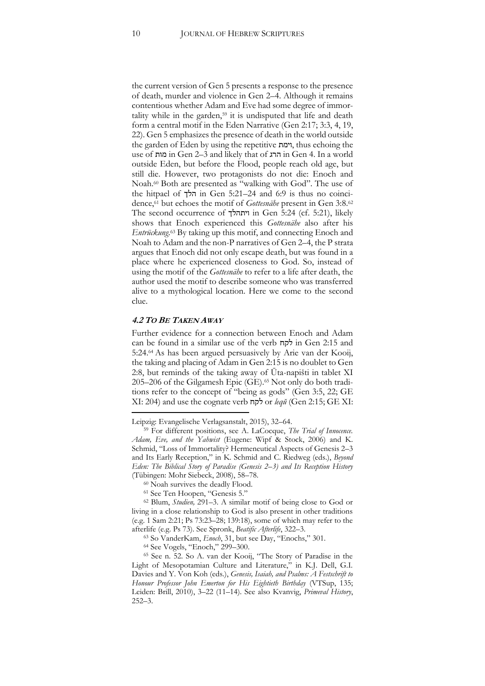the current version of Gen 5 presents a response to the presence of death, murder and violence in Gen 2–4. Although it remains contentious whether Adam and Eve had some degree of immortality while in the garden,<sup>59</sup> it is undisputed that life and death form a central motif in the Eden Narrative (Gen 2:17; 3:3, 4, 19, 22). Gen 5 emphasizes the presence of death in the world outside the garden of Eden by using the repetitive וימת, thus echoing the use of מות in Gen 2–3 and likely that of הרג in Gen 4. In a world outside Eden, but before the Flood, people reach old age, but still die. However, two protagonists do not die: Enoch and Noah.60 Both are presented as "walking with God". The use of the hitpael of הלך in Gen 5:21–24 and 6:9 is thus no coincidence,61 but echoes the motif of *Gottesnähe* present in Gen 3:8.62 The second occurrence of ויתהלך in Gen 5:24 (cf. 5:21), likely shows that Enoch experienced this *Gottesnähe* also after his *Entrückung*. <sup>63</sup> By taking up this motif, and connecting Enoch and Noah to Adam and the non-P narratives of Gen 2–4, the P strata argues that Enoch did not only escape death, but was found in a place where he experienced closeness to God. So, instead of using the motif of the *Gottesnähe* to refer to a life after death, the author used the motif to describe someone who was transferred alive to a mythological location. Here we come to the second clue.

#### **4.2 TO BE TAKEN AWAY**

 $\overline{a}$ 

Further evidence for a connection between Enoch and Adam can be found in a similar use of the verb לקח in Gen 2:15 and 5:24. <sup>64</sup> As has been argued persuasively by Arie van der Kooij, the taking and placing of Adam in Gen 2:15 is no doublet to Gen 2:8, but reminds of the taking away of Ūta-napišti in tablet XI 205–206 of the Gilgamesh Epic (GE).65 Not only do both traditions refer to the concept of "being as gods" (Gen 3:5, 22; GE XI: 204) and use the cognate verb לקח or *leqŭ* (Gen 2:15; GE XI:

Leipzig: Evangelische Verlagsanstalt, 2015), 32–64.

<sup>59</sup> For different positions, see A. LaCocque, *The Trial of Innocence. Adam, Eve, and the Yahwist* (Eugene: Wipf & Stock, 2006) and K. Schmid, "Loss of Immortality? Hermeneutical Aspects of Genesis 2–3 and Its Early Reception," in K. Schmid and C. Riedweg (eds.), *Beyond Eden: The Biblical Story of Paradise (Genesis 2–3) and Its Reception History* (Tübingen: Mohr Siebeck, 2008), 58–78.

<sup>60</sup> Noah survives the deadly Flood. 61 See Ten Hoopen, "Genesis 5."

<sup>62</sup> Blum, *Studien,* 291–3. A similar motif of being close to God or living in a close relationship to God is also present in other traditions (e.g. 1 Sam 2:21; Ps 73:23–28; 139:18), some of which may refer to the afterlife (e.g. Ps 73). See Spronk, *Beatific Afterlife*, 322–3.

<sup>63</sup> So VanderKam, *Enoch*, 31, but see Day, "Enochs," 301.

<sup>64</sup> See Vogels, "Enoch," 299–300.

<sup>65</sup> See n. 52. So A. van der Kooij, "The Story of Paradise in the Light of Mesopotamian Culture and Literature," in K.J. Dell, G.I. Davies and Y. Von Koh (eds.), *Genesis, Isaiah, and Psalms: A Festschrift to Honour Professor John Emerton for His Eightieth Birthday* (VTSup, 135; Leiden: Brill, 2010), 3–22 (11–14). See also Kvanvig, *Primeval History*, 252–3.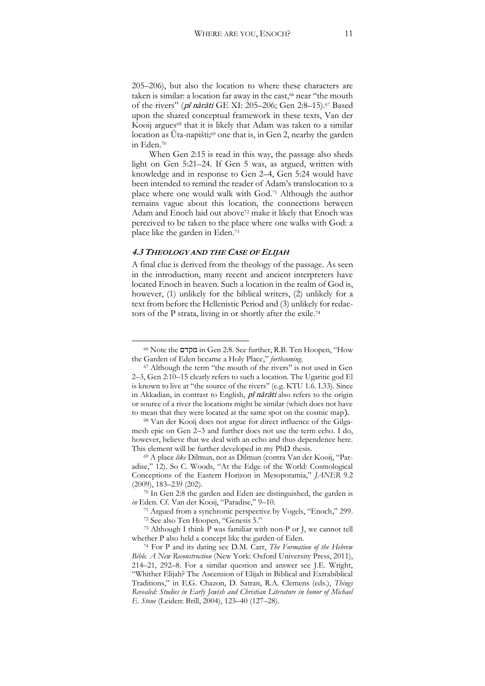205–206), but also the location to where these characters are taken is similar: a location far away in the east,<sup>66</sup> near "the mouth of the rivers" (pî nārāti GE XI: 205–206; Gen 2:8–15).67 Based upon the shared conceptual framework in these texts, Van der Kooij argues<sup>68</sup> that it is likely that Adam was taken to a similar location as Uta-napišti;<sup>69</sup> one that is, in Gen 2, nearby the garden in Eden.70

When Gen 2:15 is read in this way, the passage also sheds light on Gen 5:21–24. If Gen 5 was, as argued, written with knowledge and in response to Gen 2–4, Gen 5:24 would have been intended to remind the reader of Adam's translocation to a place where one would walk with God.71 Although the author remains vague about this location, the connections between Adam and Enoch laid out above<sup>72</sup> make it likely that Enoch was perceived to be taken to the place where one walks with God: a place like the garden in Eden.73

#### **4.3 THEOLOGY AND THE CASE OF ELIJAH**

A final clue is derived from the theology of the passage. As seen in the introduction, many recent and ancient interpreters have located Enoch in heaven. Such a location in the realm of God is, however, (1) unlikely for the biblical writers, (2) unlikely for a text from before the Hellenistic Period and (3) unlikely for redactors of the P strata, living in or shortly after the exile.74

 <sup>66</sup> Note the מקדם in Gen 2:8. See further, R.B. Ten Hoopen, "How the Garden of Eden became a Holy Place," *forthcoming.* 

<sup>67</sup> Although the term "the mouth of the rivers" is not used in Gen 2–3, Gen 2:10–15 clearly refers to such a location. The Ugaritic god El is known to live at "the source of the rivers" (e.g. KTU 1.6. I.33). Since in Akkadian, in contrast to English, pî nārāti also refers to the origin or source of a river the locations might be similar (which does not have to mean that they were located at the same spot on the cosmic map).

<sup>68</sup> Van der Kooij does not argue for direct influence of the Gilgamesh epic on Gen 2–3 and further does not use the term echo. I do, however, believe that we deal with an echo and thus dependence here. This element will be further developed in my PhD thesis. 69 A place *like* Dilmun, not as Dilmun (contra Van der Kooij, "Par-

adise," 12). So C. Woods, "At the Edge of the World: Cosmological Conceptions of the Eastern Horizon in Mesopotamia," *JANER* 9.2  $(2009)$ , 183–239 (202).<br><sup>70</sup> In Gen 2:8 the garden and Eden are distinguished, the garden is

*in* Eden. Cf. Van der Kooij, "Paradise," 9–10.

<sup>71</sup> Argued from a synchronic perspective by Vogels, "Enoch," 299. <sup>72</sup> See also Ten Hoopen, "Genesis 5."

<sup>73</sup> Although I think P was familiar with non-P or J, we cannot tell whether P also held a concept like the garden of Eden.

<sup>74</sup> For P and its dating see D.M. Carr, *The Formation of the Hebrew Bible. A New Reconstruction* (New York: Oxford University Press, 2011), 214–21, 292–8. For a similar question and answer see J.E. Wright, "Whither Elijah? The Ascension of Elijah in Biblical and Extrabiblical Traditions," in E.G. Chazon, D. Satran, R.A. Clemens (eds.), *Things Revealed: Studies in Early Jewish and Christian Literature in honor of Michael E. Stone* (Leiden: Brill, 2004), 123–40 (127–28).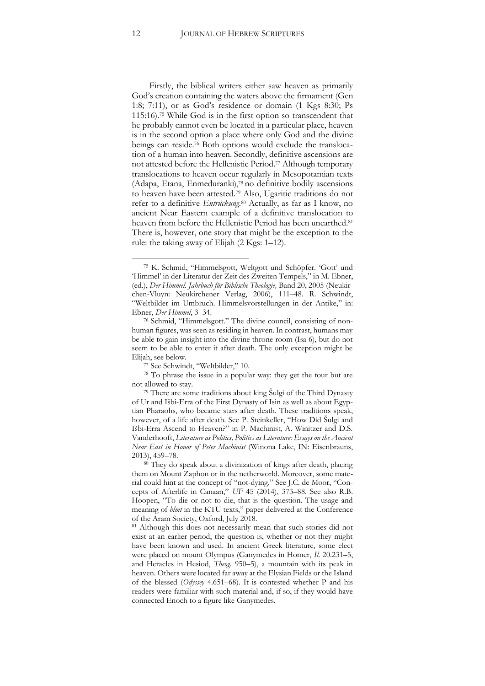Firstly, the biblical writers either saw heaven as primarily God's creation containing the waters above the firmament (Gen 1:8; 7:11), or as God's residence or domain (1 Kgs 8:30; Ps 115:16).75 While God is in the first option so transcendent that he probably cannot even be located in a particular place, heaven is in the second option a place where only God and the divine beings can reside.76 Both options would exclude the translocation of a human into heaven. Secondly, definitive ascensions are not attested before the Hellenistic Period.77 Although temporary translocations to heaven occur regularly in Mesopotamian texts (Adapa, Etana, Enmeduranki),78 no definitive bodily ascensions to heaven have been attested.79 Also, Ugaritic traditions do not refer to a definitive *Entrückung.*<sup>80</sup> Actually, as far as I know, no ancient Near Eastern example of a definitive translocation to heaven from before the Hellenistic Period has been unearthed.<sup>81</sup> There is, however, one story that might be the exception to the rule: the taking away of Elijah (2 Kgs: 1–12).

<sup>77</sup> See Schwindt, "Weltbilder," 10.

<sup>78</sup> To phrase the issue in a popular way: they get the tour but are not allowed to stay.

 <sup>75</sup> K. Schmid, "Himmelsgott, Weltgott und Schöpfer. 'Gott' und 'Himmel' in der Literatur der Zeit des Zweiten Tempels," in M. Ebner, (ed.), *Der Himmel. Jahrbuch für Biblische Theologie,* Band 20, 2005 (Neukirchen-Vluyn: Neukirchener Verlag, 2006), 111–48. R. Schwindt, "Weltbilder im Umbruch. Himmelsvorstellungen in der Antike," in: Ebner, *Der Himmel*, 3–34.

<sup>76</sup> Schmid, "Himmelsgott." The divine council, consisting of nonhuman figures, was seen as residing in heaven. In contrast, humans may be able to gain insight into the divine throne room (Isa 6), but do not seem to be able to enter it after death. The only exception might be Elijah, see below.

<sup>79</sup> There are some traditions about king Šulgi of the Third Dynasty of Ur and Išbi-Erra of the First Dynasty of Isin as well as about Egyptian Pharaohs, who became stars after death. These traditions speak, however, of a life after death. See P. Steinkeller, "How Did Šulgi and Išbi-Erra Ascend to Heaven?" in P. Machinist, A. Winitzer and D.S. Vanderhooft, *Literature as Politics, Politics as Literature: Essays on the Ancient Near East in Honor of Peter Machinist* (Winona Lake, IN: Eisenbrauns, 2013), 459–78.

<sup>80</sup> They do speak about a divinization of kings after death, placing them on Mount Zaphon or in the netherworld. Moreover, some material could hint at the concept of "not-dying." See J.C. de Moor, "Concepts of Afterlife in Canaan," *UF* 45 (2014), 373–88. See also R.B. Hoopen, "To die or not to die, that is the question. The usage and meaning of *blmt* in the KTU texts," paper delivered at the Conference of the Aram Society, Oxford, July 2018*.*

<sup>81</sup> Although this does not necessarily mean that such stories did not exist at an earlier period, the question is, whether or not they might have been known and used. In ancient Greek literature, some elect were placed on mount Olympus (Ganymedes in Homer, *Il*. 20.231–5, and Heracles in Hesiod, *Theog*. 950–5), a mountain with its peak in heaven. Others were located far away at the Elysian Fields or the Island of the blessed (*Odyssey* 4.651–68). It is contested whether P and his readers were familiar with such material and, if so, if they would have connected Enoch to a figure like Ganymedes.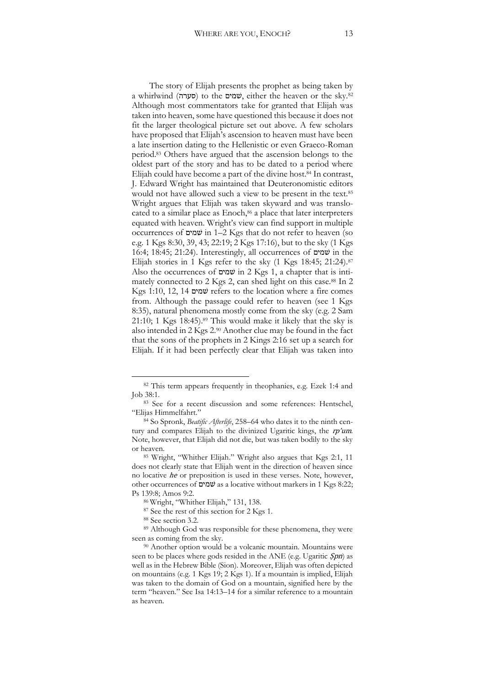The story of Elijah presents the prophet as being taken by a whirlwind (סערה) to the שמים, either the heaven or the sky.82 Although most commentators take for granted that Elijah was taken into heaven, some have questioned this because it does not fit the larger theological picture set out above. A few scholars have proposed that Elijah's ascension to heaven must have been a late insertion dating to the Hellenistic or even Graeco-Roman period.83 Others have argued that the ascension belongs to the oldest part of the story and has to be dated to a period where Elijah could have become a part of the divine host. $84$  In contrast, J. Edward Wright has maintained that Deuteronomistic editors would not have allowed such a view to be present in the text.85 Wright argues that Elijah was taken skyward and was translocated to a similar place as Enoch,<sup>86</sup> a place that later interpreters equated with heaven. Wright's view can find support in multiple occurrences of שמים in 1–2 Kgs that do not refer to heaven (so e.g. 1 Kgs 8:30, 39, 43; 22:19; 2 Kgs 17:16), but to the sky (1 Kgs 16:4; 18:45; 21:24). Interestingly, all occurrences of שמים in the Elijah stories in 1 Kgs refer to the sky (1 Kgs 18:45; 21:24).<sup>87</sup> Also the occurrences of שמים in 2 Kgs 1, a chapter that is intimately connected to 2 Kgs 2, can shed light on this case.88 In 2 Kgs 1:10, 12, 14 שמים refers to the location where a fire comes from. Although the passage could refer to heaven (see 1 Kgs 8:35), natural phenomena mostly come from the sky (e.g. 2 Sam 21:10; 1 Kgs  $18:45$ .<sup>89</sup> This would make it likely that the sky is also intended in 2 Kgs 2.90 Another clue may be found in the fact that the sons of the prophets in 2 Kings 2:16 set up a search for Elijah. If it had been perfectly clear that Elijah was taken into

 <sup>82</sup> This term appears frequently in theophanies, e.g. Ezek 1:4 and Job 38:1.

<sup>83</sup> See for a recent discussion and some references: Hentschel, "Elijas Himmelfahrt."

<sup>84</sup> So Spronk, *Beatific Afterlife*, 258–64 who dates it to the ninth century and compares Elijah to the divinized Ugaritic kings, the rp'um*.*  Note, however, that Elijah did not die, but was taken bodily to the sky or heaven. 85 Wright, "Whither Elijah." Wright also argues that Kgs 2:1, 11

does not clearly state that Elijah went in the direction of heaven since no locative he or preposition is used in these verses. Note, however, other occurrences of שמים as a locative without markers in 1 Kgs 8:22; Ps 139:8; Amos 9:2. 86 Wright, "Whither Elijah," 131, 138.

<sup>87</sup> See the rest of this section for 2 Kgs 1.

<sup>88</sup> See section 3.2.

<sup>89</sup> Although God was responsible for these phenomena, they were seen as coming from the sky.

<sup>90</sup> Another option would be a volcanic mountain. Mountains were seen to be places where gods resided in the ANE (e.g. Ugaritic Spn) as well as in the Hebrew Bible (Sion). Moreover, Elijah was often depicted on mountains (e.g. 1 Kgs 19; 2 Kgs 1). If a mountain is implied, Elijah was taken to the domain of God on a mountain, signified here by the term "heaven." See Isa 14:13–14 for a similar reference to a mountain as heaven.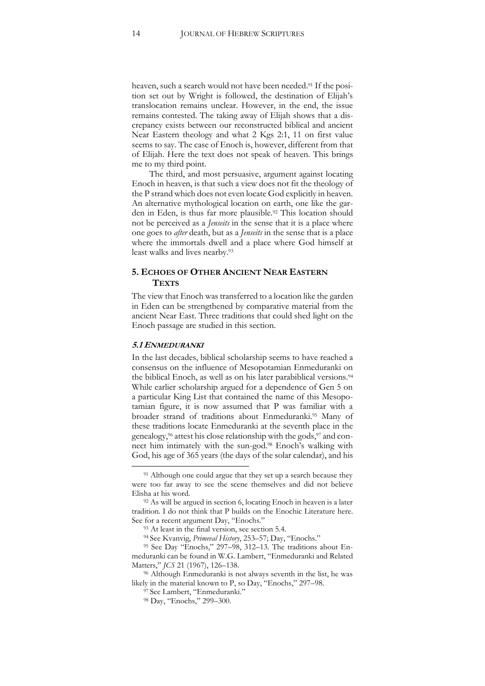heaven, such a search would not have been needed.<sup>91</sup> If the position set out by Wright is followed, the destination of Elijah's translocation remains unclear. However, in the end, the issue remains contested. The taking away of Elijah shows that a discrepancy exists between our reconstructed biblical and ancient Near Eastern theology and what 2 Kgs 2:1, 11 on first value seems to say. The case of Enoch is, however, different from that of Elijah. Here the text does not speak of heaven. This brings me to my third point.

The third, and most persuasive, argument against locating Enoch in heaven, is that such a view does not fit the theology of the P strand which does not even locate God explicitly in heaven. An alternative mythological location on earth, one like the garden in Eden, is thus far more plausible.92 This location should not be perceived as a *Jenseits* in the sense that it is a place where one goes to *after* death, but as a *Jenseits* in the sense that is a place where the immortals dwell and a place where God himself at least walks and lives nearby.93

#### **5. ECHOES OF OTHER ANCIENT NEAR EASTERN TEXTS**

The view that Enoch was transferred to a location like the garden in Eden can be strengthened by comparative material from the ancient Near East. Three traditions that could shed light on the Enoch passage are studied in this section.

#### **5.1 ENMEDURANKI**

In the last decades, biblical scholarship seems to have reached a consensus on the influence of Mesopotamian Enmeduranki on the biblical Enoch, as well as on his later parabiblical versions.<sup>94</sup> While earlier scholarship argued for a dependence of Gen 5 on a particular King List that contained the name of this Mesopotamian figure, it is now assumed that P was familiar with a broader strand of traditions about Enmeduranki.95 Many of these traditions locate Enmeduranki at the seventh place in the genealogy,  $96$  attest his close relationship with the gods,  $97$  and connect him intimately with the sun-god.98 Enoch's walking with God, his age of 365 years (the days of the solar calendar), and his

<sup>&</sup>lt;sup>91</sup> Although one could argue that they set up a search because they were too far away to see the scene themselves and did not believe Elisha at his word.<br><sup>92</sup> As will be argued in section 6, locating Enoch in heaven is a later

tradition. I do not think that P builds on the Enochic Literature here. See for a recent argument Day, "Enochs."

<sup>93</sup> At least in the final version, see section 5.4.

<sup>94</sup> See Kvanvig, *Primeval History*, 253–57; Day, "Enochs."

<sup>95</sup> See Day "Enochs," 297–98, 312–13. The traditions about Enmeduranki can be found in W.G. Lambert, "Enmeduranki and Related Matters," *JCS* 21 (1967), 126–138.<br><sup>96</sup> Although Enmeduranki is not always seventh in the list, he was

likely in the material known to P, so Day, "Enochs," 297–98.

<sup>97</sup> See Lambert, "Enmeduranki."

<sup>98</sup> Day, "Enochs," 299–300.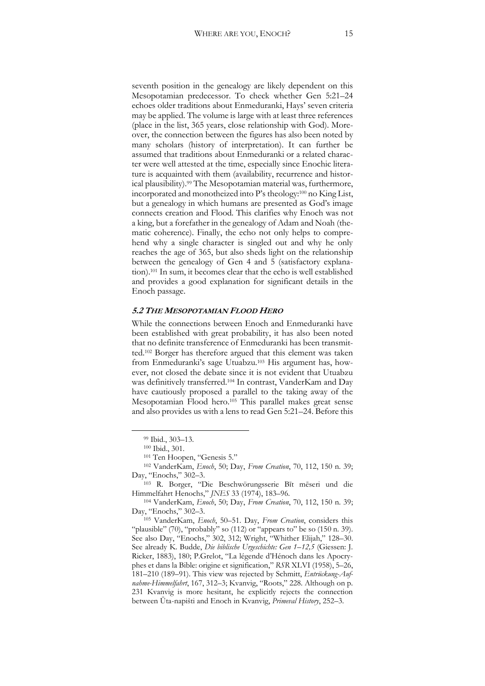seventh position in the genealogy are likely dependent on this Mesopotamian predecessor. To check whether Gen 5:21–24 echoes older traditions about Enmeduranki, Hays' seven criteria may be applied. The volume is large with at least three references (place in the list, 365 years, close relationship with God). Moreover, the connection between the figures has also been noted by many scholars (history of interpretation). It can further be assumed that traditions about Enmeduranki or a related character were well attested at the time, especially since Enochic literature is acquainted with them (availability, recurrence and historical plausibility).99 The Mesopotamian material was, furthermore, incorporated and monotheized into P's theology:<sup>100</sup> no King List, but a genealogy in which humans are presented as God's image connects creation and Flood. This clarifies why Enoch was not a king, but a forefather in the genealogy of Adam and Noah (thematic coherence). Finally, the echo not only helps to comprehend why a single character is singled out and why he only reaches the age of 365, but also sheds light on the relationship between the genealogy of Gen 4 and 5 (satisfactory explanation).101 In sum, it becomes clear that the echo is well established and provides a good explanation for significant details in the Enoch passage.

#### **5.2 THE MESOPOTAMIAN FLOOD HERO**

While the connections between Enoch and Enmeduranki have been established with great probability, it has also been noted that no definite transference of Enmeduranki has been transmitted. <sup>102</sup> Borger has therefore argued that this element was taken from Enmeduranki's sage Utuabzu.<sup>103</sup> His argument has, however, not closed the debate since it is not evident that Utuabzu was definitively transferred.104 In contrast, VanderKam and Day have cautiously proposed a parallel to the taking away of the Mesopotamian Flood hero.105 This parallel makes great sense and also provides us with a lens to read Gen 5:21–24. Before this

 <sup>99</sup> Ibid., 303–13.

<sup>100</sup> Ibid., 301.

<sup>101</sup> Ten Hoopen, "Genesis 5."

<sup>102</sup> VanderKam, *Enoch*, 50; Day, *From Creation*, 70, 112, 150 n. 39; Day, "Enochs," 302–3. 103 R. Borger, "Die Beschwörungsserie Bīt mēseri und die

Himmelfahrt Henochs," *JNES* 33 (1974), 183–96.

<sup>104</sup> VanderKam, *Enoch*, 50; Day, *From Creation*, 70, 112, 150 n. 39; Day, "Enochs," 302–3.

<sup>105</sup> VanderKam, *Enoch*, 50–51. Day, *From Creation*, considers this "plausible" (70), "probably" so (112) or "appears to" be so (150 n. 39). See also Day, "Enochs," 302, 312; Wright, "Whither Elijah," 128–30. See already K. Budde, *Die biblische Urgeschichte: Gen 1–12,5* (Giessen: J. Ricker, 1883), 180; P.Grelot, "La légende d'Hénoch dans les Apocryphes et dans la Bible: origine et signification," *RSR* XLVI (1958), 5–26, 181–210 (189–91). This view was rejected by Schmitt, *Entrückung-Aufnahme-Himmelfahrt*, 167, 312–3; Kvanvig, "Roots," 228. Although on p. 231 Kvanvig is more hesitant, he explicitly rejects the connection between Ūta-napišti and Enoch in Kvanvig, *Primeval History*, 252–3.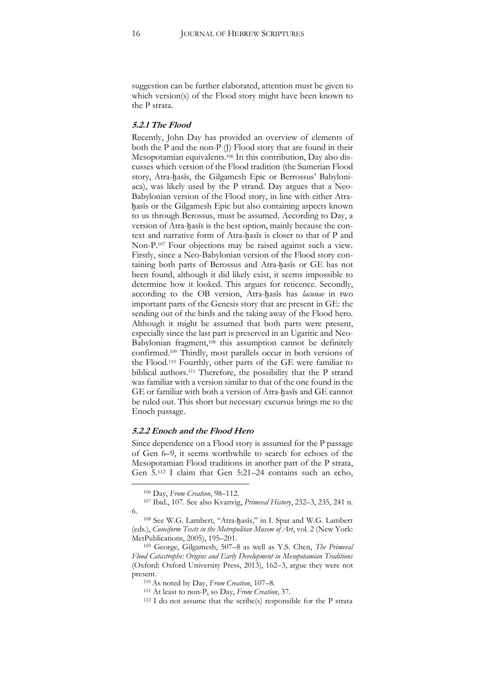suggestion can be further elaborated, attention must be given to which version(s) of the Flood story might have been known to the P strata.

#### **5.2.1 The Flood**

Recently, John Day has provided an overview of elements of both the P and the non-P (J) Flood story that are found in their Mesopotamian equivalents.106 In this contribution, Day also discusses which version of the Flood tradition (the Sumerian Flood story, Atra-ḫasīs, the Gilgamesh Epic or Berrossus' Babyloniaca), was likely used by the P strand. Day argues that a Neo-Babylonian version of the Flood story, in line with either Atraḫasīs or the Gilgamesh Epic but also containing aspects known to us through Berossus, must be assumed. According to Day, a version of Atra-ḫasīs is the best option, mainly because the context and narrative form of Atra-ḫasīs is closer to that of P and Non-P.107 Four objections may be raised against such a view. Firstly, since a Neo-Babylonian version of the Flood story containing both parts of Berossus and Atra-hasis or GE has not been found, although it did likely exist, it seems impossible to determine how it looked. This argues for reticence. Secondly, according to the OB version, Atra-ḫasīs has *lacunae* in two important parts of the Genesis story that are present in GE: the sending out of the birds and the taking away of the Flood hero. Although it might be assumed that both parts were present, especially since the last part is preserved in an Ugaritic and Neo-Babylonian fragment,108 this assumption cannot be definitely confirmed. <sup>109</sup> Thirdly, most parallels occur in both versions of the Flood.110 Fourthly, other parts of the GE were familiar to biblical authors.111 Therefore, the possibility that the P strand was familiar with a version similar to that of the one found in the GE or familiar with both a version of Atra-ḫasīs and GE cannot be ruled out. This short but necessary excursus brings me to the Enoch passage.

#### **5.2.2 Enoch and the Flood Hero**

Since dependence on a Flood story is assumed for the P passage of Gen 6–9, it seems worthwhile to search for echoes of the Mesopotamian Flood traditions in another part of the P strata, Gen 5.112 I claim that Gen 5:21–24 contains such an echo,

 <sup>106</sup> Day, *From Creation*, 98–112.

<sup>107</sup> Ibid., 107. See also Kvanvig, *Primeval History*, 232–3, 235, 241 n. 6.

<sup>108</sup> See W.G. Lambert, "Atra-ḫasīs," in I. Spar and W.G. Lambert (eds.), *Cuneiform Texts in the Metropolitan Musem of Art*, vol. 2 (New York: MetPublications, 2005), 195–201.

<sup>109</sup> George, Gilgamesh, 507–8 as well as Y.S. Chen, *The Primeval Flood Catastrophe: Origins and Early Development in Mesopotamian Traditions* (Oxford: Oxford University Press, 2013), 162–3, argue they were not present.

<sup>110</sup>As noted by Day, *From Creation*, 107–8.

<sup>111</sup> At least to non-P, so Day, *From Creation*, 37.

 $112$  I do not assume that the scribe(s) responsible for the P strata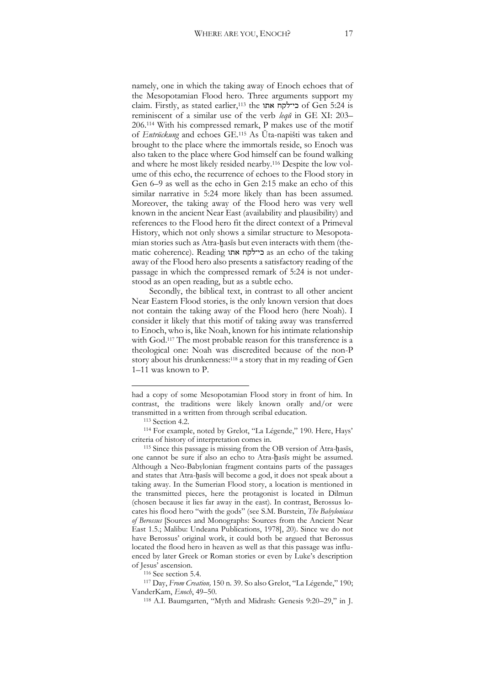namely, one in which the taking away of Enoch echoes that of the Mesopotamian Flood hero. Three arguments support my claim. Firstly, as stated earlier, <sup>113</sup> the אתו כי־לקח of Gen 5:24 is reminiscent of a similar use of the verb *leqŭ* in GE XI: 203– 206.114 With his compressed remark, P makes use of the motif of *Entrückung* and echoes GE. <sup>115</sup> As Ūta-napišti was taken and brought to the place where the immortals reside, so Enoch was also taken to the place where God himself can be found walking and where he most likely resided nearby.116 Despite the low volume of this echo, the recurrence of echoes to the Flood story in Gen 6–9 as well as the echo in Gen 2:15 make an echo of this similar narrative in 5:24 more likely than has been assumed. Moreover, the taking away of the Flood hero was very well known in the ancient Near East (availability and plausibility) and references to the Flood hero fit the direct context of a Primeval History, which not only shows a similar structure to Mesopotamian stories such as Atra-hasis but even interacts with them (thematic coherence). Reading אתו כי־לקח as an echo of the taking away of the Flood hero also presents a satisfactory reading of the passage in which the compressed remark of 5:24 is not understood as an open reading, but as a subtle echo.

Secondly, the biblical text, in contrast to all other ancient Near Eastern Flood stories, is the only known version that does not contain the taking away of the Flood hero (here Noah). I consider it likely that this motif of taking away was transferred to Enoch, who is, like Noah, known for his intimate relationship with God.<sup>117</sup> The most probable reason for this transference is a theological one: Noah was discredited because of the non-P story about his drunkenness: <sup>118</sup> a story that in my reading of Gen 1–11 was known to P.

had a copy of some Mesopotamian Flood story in front of him. In contrast, the traditions were likely known orally and/or were transmitted in a written from through scribal education. 113 Section 4.2.

<sup>114</sup> For example, noted by Grelot, "La Légende," 190. Here, Hays' criteria of history of interpretation comes in.

<sup>115</sup> Since this passage is missing from the OB version of Atra-hasīs. one cannot be sure if also an echo to Atra-ḫasīs might be assumed. Although a Neo-Babylonian fragment contains parts of the passages and states that Atra-ḫasīs will become a god, it does not speak about a taking away. In the Sumerian Flood story, a location is mentioned in the transmitted pieces, here the protagonist is located in Dilmun (chosen because it lies far away in the east). In contrast, Berossus locates his flood hero "with the gods" (see S.M. Burstein, *The Babyloniaca of Berossus* [Sources and Monographs: Sources from the Ancient Near East 1.5.; Malibu: Undeana Publications, 1978], 20). Since we do not have Berossus' original work, it could both be argued that Berossus located the flood hero in heaven as well as that this passage was influenced by later Greek or Roman stories or even by Luke's description of Jesus' ascension.<br><sup>116</sup> See section 5.4.

<sup>&</sup>lt;sup>117</sup> Day, *From Creation*, 150 n. 39. So also Grelot, "La Légende," 190; VanderKam, *Enoch*, 49–50.

<sup>118</sup> A.I. Baumgarten, "Myth and Midrash: Genesis 9:20–29," in J.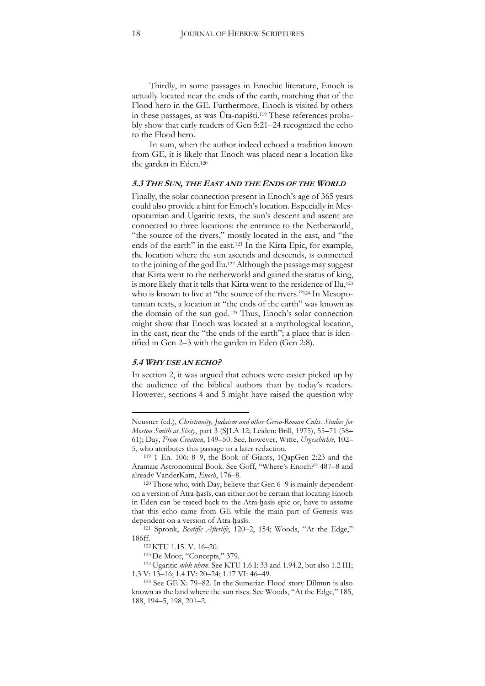Thirdly, in some passages in Enochic literature, Enoch is actually located near the ends of the earth, matching that of the Flood hero in the GE. Furthermore, Enoch is visited by others in these passages, as was Ūta-napišti.<sup>119</sup> These references probably show that early readers of Gen 5:21–24 recognized the echo to the Flood hero.

In sum, when the author indeed echoed a tradition known from GE, it is likely that Enoch was placed near a location like the garden in Eden.120

#### **5.3 THE SUN, THE EAST AND THE ENDS OF THE WORLD**

Finally, the solar connection present in Enoch's age of 365 years could also provide a hint for Enoch's location. Especially in Mesopotamian and Ugaritic texts, the sun's descent and ascent are connected to three locations: the entrance to the Netherworld, "the source of the rivers," mostly located in the east, and "the ends of the earth" in the east.<sup>121</sup> In the Kirta Epic, for example, the location where the sun ascends and descends, is connected to the joining of the god Ilu.122 Although the passage may suggest that Kirta went to the netherworld and gained the status of king, is more likely that it tells that Kirta went to the residence of Ilu,<sup>123</sup> who is known to live at "the source of the rivers."<sup>124</sup> In Mesopotamian texts, a location at "the ends of the earth" was known as the domain of the sun god.125 Thus, Enoch's solar connection might show that Enoch was located at a mythological location, in the east, near the "the ends of the earth"; a place that is identified in Gen 2–3 with the garden in Eden (Gen 2:8).

#### **5.4 WHY USE AN ECHO?**

 $\overline{a}$ 

In section 2, it was argued that echoes were easier picked up by the audience of the biblical authors than by today's readers. However, sections 4 and 5 might have raised the question why

Neusner (ed.), *Christianity, Judaism and other Greco-Roman Cults. Studies for Morton Smith at Sixty*, part 3 (SJLA 12; Leiden: Brill, 1975), 55–71 (58– 61); Day, *From Creation*, 149–50. See, however, Witte, *Urgeschichte*, 102– 5, who attributes this passage to a later redaction.

<sup>119</sup> 1 En. 106: 8–9, the Book of Giants, 1QapGen 2:23 and the Aramaic Astronomical Book. See Goff, "Where's Enoch?" 487–8 and already VanderKam, *Enoch*, <sup>176</sup>–8. 120 Those who, with Day, believe that Gen 6–<sup>9</sup> is mainly dependent

on a version of Atra-ḫasīs, can either not be certain that locating Enoch in Eden can be traced back to the Atra-ḫasīs epic or, have to assume that this echo came from GE while the main part of Genesis was dependent on a version of Atra-ḫasīs.

<sup>121</sup> Spronk, *Beatific Afterlife*, 120–2, 154; Woods, "At the Edge," 186ff.<br><sup>122</sup> KTU 1.15. V. 16–20.<br><sup>123</sup> De Moor, "Concepts," 379.

<sup>&</sup>lt;sup>124</sup> Ugaritic *mbk nhrm*. See KTU 1.6 I: 33 and 1.94.2, but also 1.2 III; 1.3 V: 13–16; 1.4 IV: 20–24; 1.17 VI: 46–49.

<sup>125</sup> See GE X: 79–82. In the Sumerian Flood story Dilmun is also known as the land where the sun rises. See Woods, "At the Edge," 185, 188, 194–5, 198, 201–2.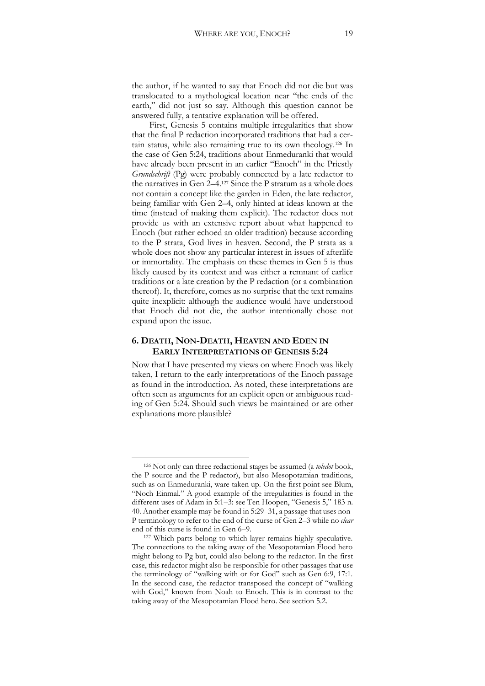the author, if he wanted to say that Enoch did not die but was translocated to a mythological location near "the ends of the earth," did not just so say. Although this question cannot be answered fully, a tentative explanation will be offered.

First, Genesis 5 contains multiple irregularities that show that the final P redaction incorporated traditions that had a certain status, while also remaining true to its own theology.126 In the case of Gen 5:24, traditions about Enmeduranki that would have already been present in an earlier "Enoch" in the Priestly *Grundschrift* (Pg) were probably connected by a late redactor to the narratives in Gen  $2-4$ .<sup>127</sup> Since the P stratum as a whole does not contain a concept like the garden in Eden, the late redactor, being familiar with Gen 2–4, only hinted at ideas known at the time (instead of making them explicit). The redactor does not provide us with an extensive report about what happened to Enoch (but rather echoed an older tradition) because according to the P strata, God lives in heaven. Second, the P strata as a whole does not show any particular interest in issues of afterlife or immortality. The emphasis on these themes in Gen 5 is thus likely caused by its context and was either a remnant of earlier traditions or a late creation by the P redaction (or a combination thereof). It, therefore, comes as no surprise that the text remains quite inexplicit: although the audience would have understood that Enoch did not die, the author intentionally chose not expand upon the issue.

### **6. DEATH, NON-DEATH, HEAVEN AND EDEN IN EARLY INTERPRETATIONS OF GENESIS 5:24**

Now that I have presented my views on where Enoch was likely taken, I return to the early interpretations of the Enoch passage as found in the introduction. As noted, these interpretations are often seen as arguments for an explicit open or ambiguous reading of Gen 5:24. Should such views be maintained or are other explanations more plausible?

 <sup>126</sup> Not only can three redactional stages be assumed (a *toledot* book, the P source and the P redactor), but also Mesopotamian traditions, such as on Enmeduranki, ware taken up. On the first point see Blum, "Noch Einmal." A good example of the irregularities is found in the different uses of Adam in 5:1–3: see Ten Hoopen, "Genesis 5," 183 n. 40. Another example may be found in 5:29–31, a passage that uses non-P terminology to refer to the end of the curse of Gen 2–3 while no *clear*

end of this curse is found in Gen 6–9.<br><sup>127</sup> Which parts belong to which layer remains highly speculative. The connections to the taking away of the Mesopotamian Flood hero might belong to Pg but, could also belong to the redactor. In the first case, this redactor might also be responsible for other passages that use the terminology of "walking with or for God" such as Gen 6:9, 17:1. In the second case, the redactor transposed the concept of "walking with God," known from Noah to Enoch. This is in contrast to the taking away of the Mesopotamian Flood hero. See section 5.2.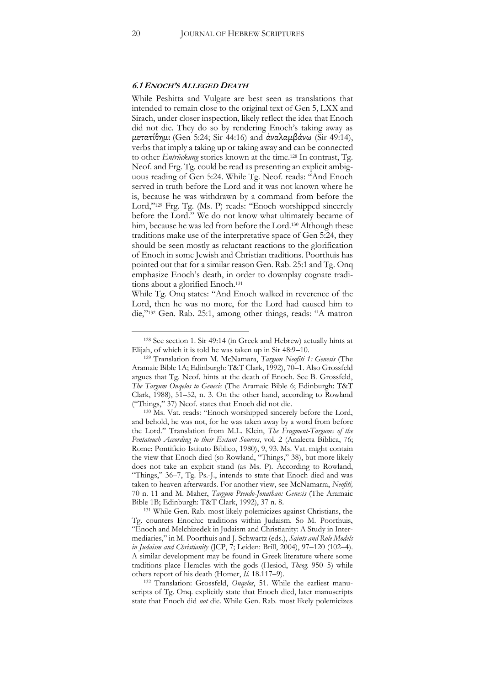#### **6.1 ENOCH'S ALLEGED DEATH**

While Peshitta and Vulgate are best seen as translations that intended to remain close to the original text of Gen 5, LXX and Sirach, under closer inspection, likely reflect the idea that Enoch did not die. They do so by rendering Enoch's taking away as μετατίθημι (Gen 5:24; Sir 44:16) and ἀναλαμβάνω (Sir 49:14), verbs that imply a taking up or taking away and can be connected to other *Entrückung* stories known at the time. <sup>128</sup> In contrast, Tg. Neof. and Frg. Tg. could be read as presenting an explicit ambiguous reading of Gen 5:24. While Tg. Neof. reads: "And Enoch served in truth before the Lord and it was not known where he is, because he was withdrawn by a command from before the Lord,"<sup>129</sup> Frg. Tg. (Ms. P) reads: "Enoch worshipped sincerely before the Lord." We do not know what ultimately became of him, because he was led from before the Lord.<sup>130</sup> Although these traditions make use of the interpretative space of Gen 5:24, they should be seen mostly as reluctant reactions to the glorification of Enoch in some Jewish and Christian traditions. Poorthuis has pointed out that for a similar reason Gen. Rab. 25:1 and Tg. Onq emphasize Enoch's death, in order to downplay cognate traditions about a glorified Enoch.131

While Tg. Onq states: "And Enoch walked in reverence of the Lord, then he was no more, for the Lord had caused him to die,"<sup>132</sup> Gen. Rab. 25:1, among other things, reads: "A matron

<sup>131</sup> While Gen. Rab. most likely polemicizes against Christians, the Tg. counters Enochic traditions within Judaism. So M. Poorthuis, "Enoch and Melchizedek in Judaism and Christianity: A Study in Intermediaries," in M. Poorthuis and J. Schwartz (eds.), *Saints and Role Models in Judaism and Christianity* (JCP, 7; Leiden: Brill, 2004), 97–120 (102–4). A similar development may be found in Greek literature where some traditions place Heracles with the gods (Hesiod, *Theog.* 950–5) while others report of his death (Homer, *Il.* 18.117–9).

<sup>132</sup> Translation: Grossfeld, *Onqelos*, 51. While the earliest manuscripts of Tg. Onq. explicitly state that Enoch died, later manuscripts state that Enoch did *not* die. While Gen. Rab. most likely polemicizes

 <sup>128</sup> See section 1. Sir 49:14 (in Greek and Hebrew) actually hints at

Elijah, of which it is told he was taken up in Sir 48:9–10. 129 Translation from M. McNamara, *Targum Neofiti 1: Genesis* (The Aramaic Bible 1A; Edinburgh: T&T Clark, 1992), 70–1. Also Grossfeld argues that Tg. Neof. hints at the death of Enoch. See B. Grossfeld, *The Targum Onqelos to Genesis* (The Aramaic Bible 6; Edinburgh: T&T Clark, 1988), 51–52, n. 3. On the other hand, according to Rowland ("Things," 37) Neof. states that Enoch did not die. 130 Ms. Vat. reads: "Enoch worshipped sincerely before the Lord,

and behold, he was not, for he was taken away by a word from before the Lord." Translation from M.L. Klein, *The Fragment-Targums of the Pentateuch According to their Extant Sources*, vol. 2 (Analecta Biblica, 76; Rome: [Pontificio Istituto Biblico,](javascript:ViewPublisher(%22Biblical%20Institute%20Press%20/%20Editrice%20Pontificio%20Istituto%20Biblico%22)) 1980), 9, 93. Ms. Vat. might contain the view that Enoch died (so Rowland, "Things," 38), but more likely does not take an explicit stand (as Ms. P). According to Rowland, "Things," 36–7, Tg. Ps.-J., intends to state that Enoch died and was taken to heaven afterwards. For another view, see McNamarra, *Neofiti,*  70 n. 11 and M. Maher, *Targum Pseudo-Jonathan: Genesis* (The Aramaic Bible 1B; Edinburgh: T&T Clark, 1992), 37 n. 8.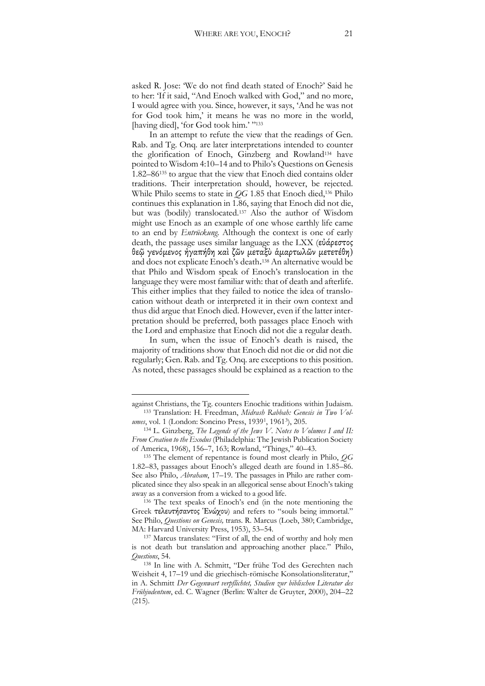asked R. Jose: 'We do not find death stated of Enoch?' Said he to her: 'If it said, "And Enoch walked with God," and no more, I would agree with you. Since, however, it says, 'And he was not for God took him,' it means he was no more in the world, [having died], 'for God took him.' "133

In an attempt to refute the view that the readings of Gen. Rab. and Tg. Onq. are later interpretations intended to counter the glorification of Enoch, Ginzberg and Rowland134 have pointed to Wisdom 4:10–14 and to Philo's Questions on Genesis 1.82–86135 to argue that the view that Enoch died contains older traditions. Their interpretation should, however, be rejected. While Philo seems to state in *OG* 1.85 that Enoch died,<sup>136</sup> Philo continues this explanation in 1.86, saying that Enoch did not die, but was (bodily) translocated.137 Also the author of Wisdom might use Enoch as an example of one whose earthly life came to an end by *Entrückung.* Although the context is one of early death, the passage uses similar language as the LXX (εὐάρεστος θεῷ γενόμενος ἠγαπήθη καὶ ζῶν μεταξὺ ἁμαρτωλῶν μετετέθη) and does not explicate Enoch's death.<sup>138</sup> An alternative would be that Philo and Wisdom speak of Enoch's translocation in the language they were most familiar with: that of death and afterlife. This either implies that they failed to notice the idea of translocation without death or interpreted it in their own context and thus did argue that Enoch died. However, even if the latter interpretation should be preferred, both passages place Enoch with the Lord and emphasize that Enoch did not die a regular death.

In sum, when the issue of Enoch's death is raised, the majority of traditions show that Enoch did not die or did not die regularly; Gen. Rab. and Tg. Onq. are exceptions to this position. As noted, these passages should be explained as a reaction to the

against Christians, the Tg. counters Enochic traditions within Judaism. 133 Translation: H. Freedman, *Midrash Rabbah: Genesis in Two Volumes*, vol. 1 (London: Soncino Press, 19391, 19613), 205.

<sup>134</sup> L. Ginzberg, *The Legends of the Jews V*. *Notes to Volumes I and II: From Creation to the Exodus* (Philadelphia: The Jewish Publication Society of America, 1968), 156–7, 163; Rowland, "Things," 40–43.

<sup>135</sup> The element of repentance is found most clearly in Philo, *QG* 1.82–83, passages about Enoch's alleged death are found in 1.85–86. See also Philo, *Abraham*, 17–19. The passages in Philo are rather complicated since they also speak in an allegorical sense about Enoch's taking away as a conversion from a wicked to a good life. 136 The text speaks of Enoch's end (in the note mentioning the

Greek τελευτήσαντος Ἑνώχου) and refers to "souls being immortal." See Philo, *Questions on Genesis,* trans. R. Marcus (Loeb, 380; Cambridge,

MA: Harvard University Press, 1953), 53–54.<br><sup>137</sup> Marcus translates: "First of all, the end of worthy and holy men is not death but translation and approaching another place." Philo, *Questions*, 54.

<sup>138</sup> In line with A. Schmitt, "Der frühe Tod des Gerechten nach Weisheit 4, 17–19 und die griechisch-römische Konsolationsliteratur," in A. Schmitt *Der Gegenwart verpflichtet, Studien zur biblischen Literatur des Frühjudentum*, ed. C. Wagner (Berlin: Walter de Gruyter, 2000), 204–22 (215).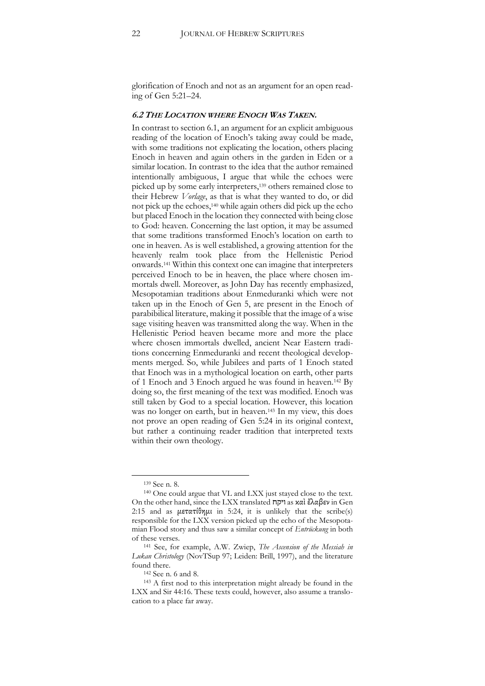glorification of Enoch and not as an argument for an open reading of Gen 5:21–24.

#### **6.2 THE LOCATION WHERE ENOCH WAS TAKEN.**

In contrast to section 6.1, an argument for an explicit ambiguous reading of the location of Enoch's taking away could be made, with some traditions not explicating the location, others placing Enoch in heaven and again others in the garden in Eden or a similar location. In contrast to the idea that the author remained intentionally ambiguous, I argue that while the echoes were picked up by some early interpreters,139 others remained close to their Hebrew *Vorlage*, as that is what they wanted to do, or did not pick up the echoes,140 while again others did pick up the echo but placed Enoch in the location they connected with being close to God: heaven. Concerning the last option, it may be assumed that some traditions transformed Enoch's location on earth to one in heaven. As is well established, a growing attention for the heavenly realm took place from the Hellenistic Period onwards.141 Within this context one can imagine that interpreters perceived Enoch to be in heaven, the place where chosen immortals dwell. Moreover, as John Day has recently emphasized, Mesopotamian traditions about Enmeduranki which were not taken up in the Enoch of Gen 5, are present in the Enoch of parabibilical literature, making it possible that the image of a wise sage visiting heaven was transmitted along the way. When in the Hellenistic Period heaven became more and more the place where chosen immortals dwelled, ancient Near Eastern traditions concerning Enmeduranki and recent theological developments merged. So, while Jubilees and parts of 1 Enoch stated that Enoch was in a mythological location on earth, other parts of 1 Enoch and 3 Enoch argued he was found in heaven.142 By doing so, the first meaning of the text was modified. Enoch was still taken by God to a special location. However, this location was no longer on earth, but in heaven.<sup>143</sup> In my view, this does not prove an open reading of Gen 5:24 in its original context, but rather a continuing reader tradition that interpreted texts within their own theology.

 <sup>139</sup> See n. 8.

<sup>140</sup> One could argue that VL and LXX just stayed close to the text. On the other hand, since the LXX translated ויקח as καὶ ἔλαβεν in Gen 2:15 and as  $\mu \in \pi$ ατίθημι in 5:24, it is unlikely that the scribe(s) responsible for the LXX version picked up the echo of the Mesopotamian Flood story and thus saw a similar concept of *Entrückung* in both of these verses.

<sup>141</sup> See, for example, A.W. Zwiep, *The Ascension of the Messiah in Lukan Christology* (NovTSup 97; Leiden: Brill, 1997), and the literature found there.

<sup>142</sup> See n. 6 and 8.

<sup>143</sup> A first nod to this interpretation might already be found in the LXX and Sir 44:16. These texts could, however, also assume a translocation to a place far away.